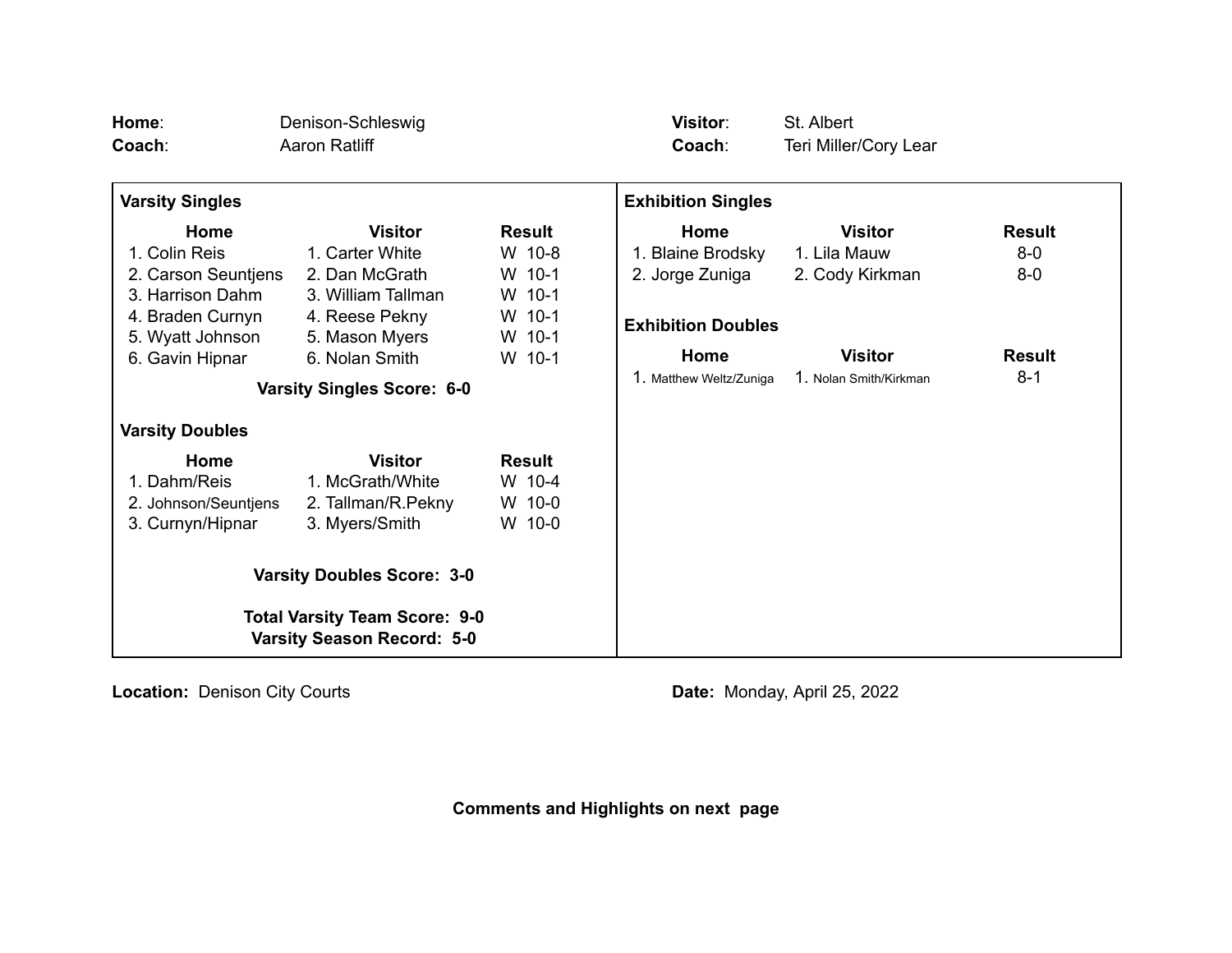| Home:<br>Coach:                                                           | Denison-Schleswig<br>Aaron Ratliff |               | <b>Visitor:</b><br>Coach: | St. Albert<br>Teri Miller/Cory Lear |               |
|---------------------------------------------------------------------------|------------------------------------|---------------|---------------------------|-------------------------------------|---------------|
| <b>Varsity Singles</b>                                                    |                                    |               | <b>Exhibition Singles</b> |                                     |               |
| Home                                                                      | <b>Visitor</b>                     | <b>Result</b> | Home                      | <b>Visitor</b>                      | <b>Result</b> |
| 1. Colin Reis                                                             | 1. Carter White                    | W 10-8        | 1. Blaine Brodsky         | 1. Lila Mauw                        | $8 - 0$       |
| 2. Carson Seuntjens                                                       | 2. Dan McGrath                     | W 10-1        | 2. Jorge Zuniga           | 2. Cody Kirkman                     | $8-0$         |
| 3. Harrison Dahm                                                          | 3. William Tallman                 | W 10-1        |                           |                                     |               |
| 4. Braden Curnyn                                                          | 4. Reese Pekny                     | W 10-1        | <b>Exhibition Doubles</b> |                                     |               |
| 5. Wyatt Johnson                                                          | 5. Mason Myers                     | W 10-1        |                           |                                     |               |
| 6. Gavin Hipnar                                                           | 6. Nolan Smith                     | W 10-1        | Home                      | <b>Visitor</b>                      | <b>Result</b> |
|                                                                           | <b>Varsity Singles Score: 6-0</b>  |               | 1. Matthew Weltz/Zuniga   | 1. Nolan Smith/Kirkman              | $8 - 1$       |
| <b>Varsity Doubles</b>                                                    |                                    |               |                           |                                     |               |
| Home                                                                      | <b>Visitor</b>                     | <b>Result</b> |                           |                                     |               |
| 1. Dahm/Reis                                                              | 1. McGrath/White                   | W 10-4        |                           |                                     |               |
| 2. Johnson/Seuntjens                                                      | 2. Tallman/R.Pekny                 | W 10-0        |                           |                                     |               |
| 3. Curnyn/Hipnar                                                          | 3. Myers/Smith                     | W 10-0        |                           |                                     |               |
| <b>Varsity Doubles Score: 3-0</b>                                         |                                    |               |                           |                                     |               |
| <b>Total Varsity Team Score: 9-0</b><br><b>Varsity Season Record: 5-0</b> |                                    |               |                           |                                     |               |

**Location:** Denison City Courts **Date: Date:** Monday, April 25, 2022

**Comments and Highlights on next page**